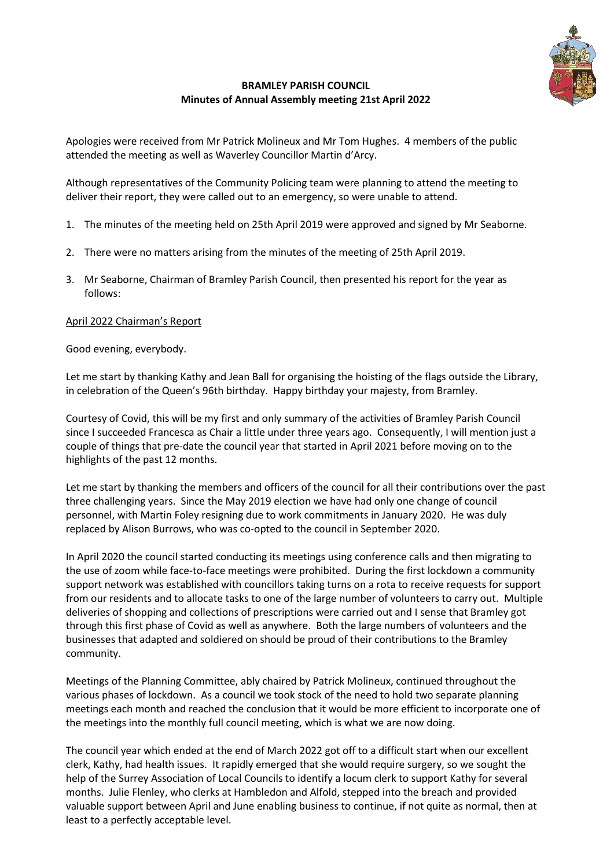

## **BRAMLEY PARISH COUNCIL Minutes of Annual Assembly meeting 21st April 2022**

Apologies were received from Mr Patrick Molineux and Mr Tom Hughes. 4 members of the public attended the meeting as well as Waverley Councillor Martin d'Arcy.

Although representatives of the Community Policing team were planning to attend the meeting to deliver their report, they were called out to an emergency, so were unable to attend.

- 1. The minutes of the meeting held on 25th April 2019 were approved and signed by Mr Seaborne.
- 2. There were no matters arising from the minutes of the meeting of 25th April 2019.
- 3. Mr Seaborne, Chairman of Bramley Parish Council, then presented his report for the year as follows:

## April 2022 Chairman's Report

Good evening, everybody.

Let me start by thanking Kathy and Jean Ball for organising the hoisting of the flags outside the Library, in celebration of the Queen's 96th birthday. Happy birthday your majesty, from Bramley.

Courtesy of Covid, this will be my first and only summary of the activities of Bramley Parish Council since I succeeded Francesca as Chair a little under three years ago. Consequently, I will mention just a couple of things that pre-date the council year that started in April 2021 before moving on to the highlights of the past 12 months.

Let me start by thanking the members and officers of the council for all their contributions over the past three challenging years. Since the May 2019 election we have had only one change of council personnel, with Martin Foley resigning due to work commitments in January 2020. He was duly replaced by Alison Burrows, who was co-opted to the council in September 2020.

In April 2020 the council started conducting its meetings using conference calls and then migrating to the use of zoom while face-to-face meetings were prohibited. During the first lockdown a community support network was established with councillors taking turns on a rota to receive requests for support from our residents and to allocate tasks to one of the large number of volunteers to carry out. Multiple deliveries of shopping and collections of prescriptions were carried out and I sense that Bramley got through this first phase of Covid as well as anywhere. Both the large numbers of volunteers and the businesses that adapted and soldiered on should be proud of their contributions to the Bramley community.

Meetings of the Planning Committee, ably chaired by Patrick Molineux, continued throughout the various phases of lockdown. As a council we took stock of the need to hold two separate planning meetings each month and reached the conclusion that it would be more efficient to incorporate one of the meetings into the monthly full council meeting, which is what we are now doing.

The council year which ended at the end of March 2022 got off to a difficult start when our excellent clerk, Kathy, had health issues. It rapidly emerged that she would require surgery, so we sought the help of the Surrey Association of Local Councils to identify a locum clerk to support Kathy for several months. Julie Flenley, who clerks at Hambledon and Alfold, stepped into the breach and provided valuable support between April and June enabling business to continue, if not quite as normal, then at least to a perfectly acceptable level.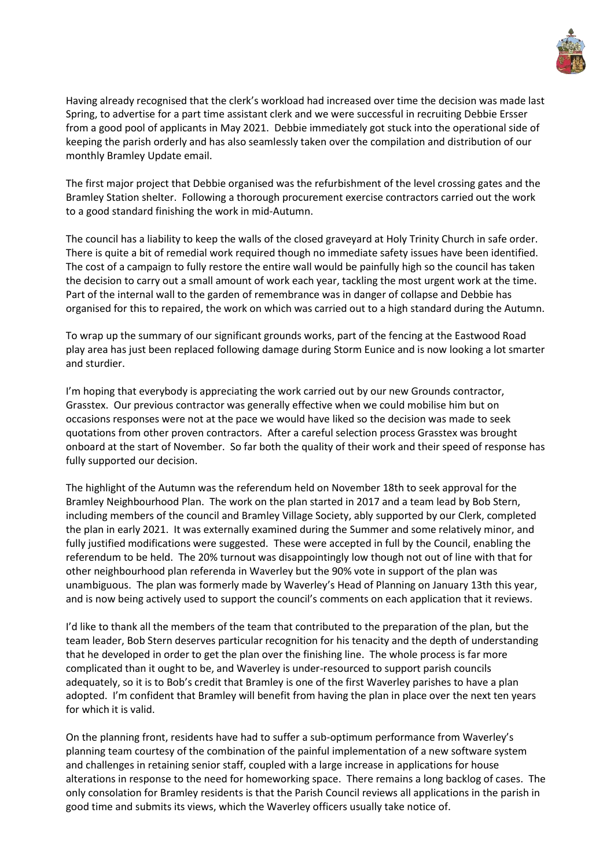

Having already recognised that the clerk's workload had increased over time the decision was made last Spring, to advertise for a part time assistant clerk and we were successful in recruiting Debbie Ersser from a good pool of applicants in May 2021. Debbie immediately got stuck into the operational side of keeping the parish orderly and has also seamlessly taken over the compilation and distribution of our monthly Bramley Update email.

The first major project that Debbie organised was the refurbishment of the level crossing gates and the Bramley Station shelter. Following a thorough procurement exercise contractors carried out the work to a good standard finishing the work in mid-Autumn.

The council has a liability to keep the walls of the closed graveyard at Holy Trinity Church in safe order. There is quite a bit of remedial work required though no immediate safety issues have been identified. The cost of a campaign to fully restore the entire wall would be painfully high so the council has taken the decision to carry out a small amount of work each year, tackling the most urgent work at the time. Part of the internal wall to the garden of remembrance was in danger of collapse and Debbie has organised for this to repaired, the work on which was carried out to a high standard during the Autumn.

To wrap up the summary of our significant grounds works, part of the fencing at the Eastwood Road play area has just been replaced following damage during Storm Eunice and is now looking a lot smarter and sturdier.

I'm hoping that everybody is appreciating the work carried out by our new Grounds contractor, Grasstex. Our previous contractor was generally effective when we could mobilise him but on occasions responses were not at the pace we would have liked so the decision was made to seek quotations from other proven contractors. After a careful selection process Grasstex was brought onboard at the start of November. So far both the quality of their work and their speed of response has fully supported our decision.

The highlight of the Autumn was the referendum held on November 18th to seek approval for the Bramley Neighbourhood Plan. The work on the plan started in 2017 and a team lead by Bob Stern, including members of the council and Bramley Village Society, ably supported by our Clerk, completed the plan in early 2021. It was externally examined during the Summer and some relatively minor, and fully justified modifications were suggested. These were accepted in full by the Council, enabling the referendum to be held. The 20% turnout was disappointingly low though not out of line with that for other neighbourhood plan referenda in Waverley but the 90% vote in support of the plan was unambiguous. The plan was formerly made by Waverley's Head of Planning on January 13th this year, and is now being actively used to support the council's comments on each application that it reviews.

I'd like to thank all the members of the team that contributed to the preparation of the plan, but the team leader, Bob Stern deserves particular recognition for his tenacity and the depth of understanding that he developed in order to get the plan over the finishing line. The whole process is far more complicated than it ought to be, and Waverley is under-resourced to support parish councils adequately, so it is to Bob's credit that Bramley is one of the first Waverley parishes to have a plan adopted. I'm confident that Bramley will benefit from having the plan in place over the next ten years for which it is valid.

On the planning front, residents have had to suffer a sub-optimum performance from Waverley's planning team courtesy of the combination of the painful implementation of a new software system and challenges in retaining senior staff, coupled with a large increase in applications for house alterations in response to the need for homeworking space. There remains a long backlog of cases. The only consolation for Bramley residents is that the Parish Council reviews all applications in the parish in good time and submits its views, which the Waverley officers usually take notice of.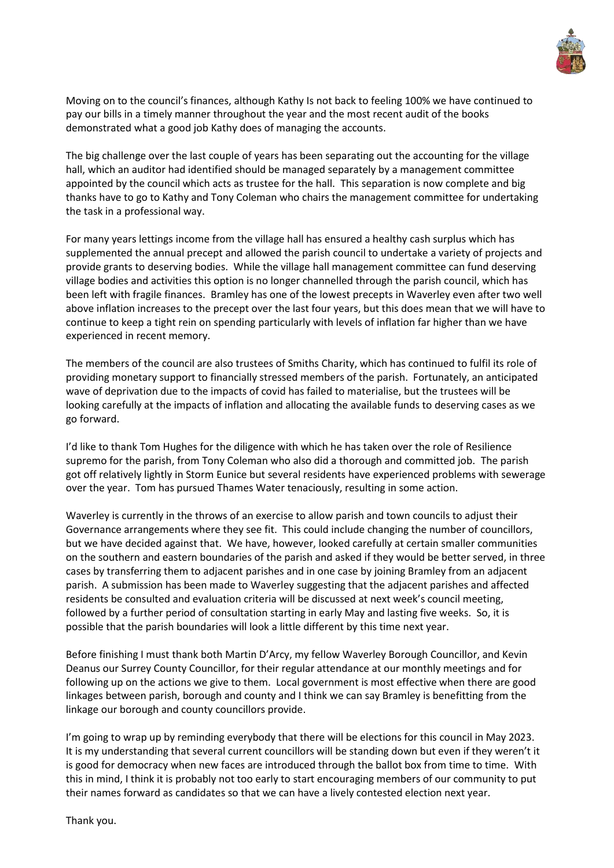

Moving on to the council's finances, although Kathy Is not back to feeling 100% we have continued to pay our bills in a timely manner throughout the year and the most recent audit of the books demonstrated what a good job Kathy does of managing the accounts.

The big challenge over the last couple of years has been separating out the accounting for the village hall, which an auditor had identified should be managed separately by a management committee appointed by the council which acts as trustee for the hall. This separation is now complete and big thanks have to go to Kathy and Tony Coleman who chairs the management committee for undertaking the task in a professional way.

For many years lettings income from the village hall has ensured a healthy cash surplus which has supplemented the annual precept and allowed the parish council to undertake a variety of projects and provide grants to deserving bodies. While the village hall management committee can fund deserving village bodies and activities this option is no longer channelled through the parish council, which has been left with fragile finances. Bramley has one of the lowest precepts in Waverley even after two well above inflation increases to the precept over the last four years, but this does mean that we will have to continue to keep a tight rein on spending particularly with levels of inflation far higher than we have experienced in recent memory.

The members of the council are also trustees of Smiths Charity, which has continued to fulfil its role of providing monetary support to financially stressed members of the parish. Fortunately, an anticipated wave of deprivation due to the impacts of covid has failed to materialise, but the trustees will be looking carefully at the impacts of inflation and allocating the available funds to deserving cases as we go forward.

I'd like to thank Tom Hughes for the diligence with which he has taken over the role of Resilience supremo for the parish, from Tony Coleman who also did a thorough and committed job. The parish got off relatively lightly in Storm Eunice but several residents have experienced problems with sewerage over the year. Tom has pursued Thames Water tenaciously, resulting in some action.

Waverley is currently in the throws of an exercise to allow parish and town councils to adjust their Governance arrangements where they see fit. This could include changing the number of councillors, but we have decided against that. We have, however, looked carefully at certain smaller communities on the southern and eastern boundaries of the parish and asked if they would be better served, in three cases by transferring them to adjacent parishes and in one case by joining Bramley from an adjacent parish. A submission has been made to Waverley suggesting that the adjacent parishes and affected residents be consulted and evaluation criteria will be discussed at next week's council meeting, followed by a further period of consultation starting in early May and lasting five weeks. So, it is possible that the parish boundaries will look a little different by this time next year.

Before finishing I must thank both Martin D'Arcy, my fellow Waverley Borough Councillor, and Kevin Deanus our Surrey County Councillor, for their regular attendance at our monthly meetings and for following up on the actions we give to them. Local government is most effective when there are good linkages between parish, borough and county and I think we can say Bramley is benefitting from the linkage our borough and county councillors provide.

I'm going to wrap up by reminding everybody that there will be elections for this council in May 2023. It is my understanding that several current councillors will be standing down but even if they weren't it is good for democracy when new faces are introduced through the ballot box from time to time. With this in mind, I think it is probably not too early to start encouraging members of our community to put their names forward as candidates so that we can have a lively contested election next year.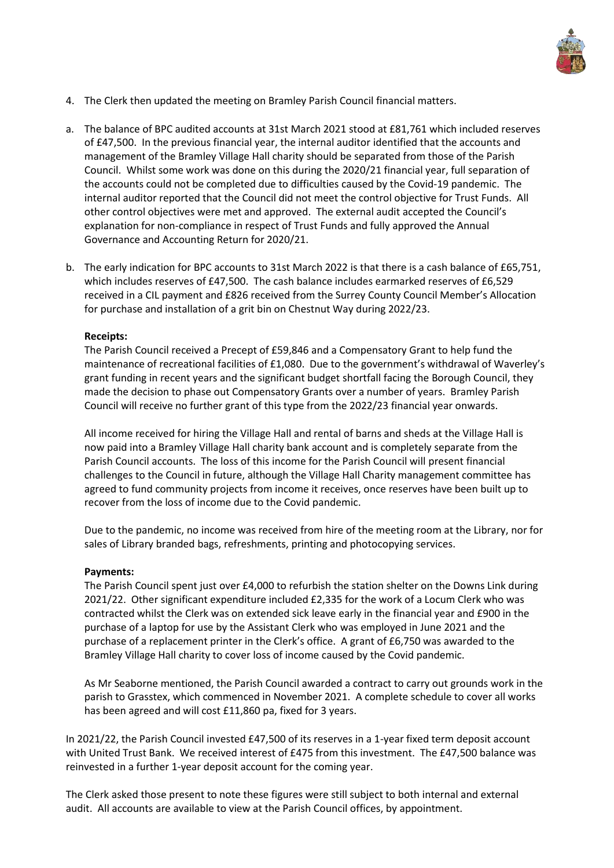

- 4. The Clerk then updated the meeting on Bramley Parish Council financial matters.
- a. The balance of BPC audited accounts at 31st March 2021 stood at £81,761 which included reserves of £47,500. In the previous financial year, the internal auditor identified that the accounts and management of the Bramley Village Hall charity should be separated from those of the Parish Council. Whilst some work was done on this during the 2020/21 financial year, full separation of the accounts could not be completed due to difficulties caused by the Covid-19 pandemic. The internal auditor reported that the Council did not meet the control objective for Trust Funds. All other control objectives were met and approved. The external audit accepted the Council's explanation for non-compliance in respect of Trust Funds and fully approved the Annual Governance and Accounting Return for 2020/21.
- b. The early indication for BPC accounts to 31st March 2022 is that there is a cash balance of £65,751, which includes reserves of £47,500. The cash balance includes earmarked reserves of £6,529 received in a CIL payment and £826 received from the Surrey County Council Member's Allocation for purchase and installation of a grit bin on Chestnut Way during 2022/23.

## **Receipts:**

The Parish Council received a Precept of £59,846 and a Compensatory Grant to help fund the maintenance of recreational facilities of £1,080. Due to the government's withdrawal of Waverley's grant funding in recent years and the significant budget shortfall facing the Borough Council, they made the decision to phase out Compensatory Grants over a number of years. Bramley Parish Council will receive no further grant of this type from the 2022/23 financial year onwards.

All income received for hiring the Village Hall and rental of barns and sheds at the Village Hall is now paid into a Bramley Village Hall charity bank account and is completely separate from the Parish Council accounts. The loss of this income for the Parish Council will present financial challenges to the Council in future, although the Village Hall Charity management committee has agreed to fund community projects from income it receives, once reserves have been built up to recover from the loss of income due to the Covid pandemic.

Due to the pandemic, no income was received from hire of the meeting room at the Library, nor for sales of Library branded bags, refreshments, printing and photocopying services.

## **Payments:**

The Parish Council spent just over £4,000 to refurbish the station shelter on the Downs Link during 2021/22. Other significant expenditure included £2,335 for the work of a Locum Clerk who was contracted whilst the Clerk was on extended sick leave early in the financial year and £900 in the purchase of a laptop for use by the Assistant Clerk who was employed in June 2021 and the purchase of a replacement printer in the Clerk's office. A grant of £6,750 was awarded to the Bramley Village Hall charity to cover loss of income caused by the Covid pandemic.

As Mr Seaborne mentioned, the Parish Council awarded a contract to carry out grounds work in the parish to Grasstex, which commenced in November 2021. A complete schedule to cover all works has been agreed and will cost £11,860 pa, fixed for 3 years.

In 2021/22, the Parish Council invested £47,500 of its reserves in a 1-year fixed term deposit account with United Trust Bank. We received interest of £475 from this investment. The £47,500 balance was reinvested in a further 1-year deposit account for the coming year.

The Clerk asked those present to note these figures were still subject to both internal and external audit. All accounts are available to view at the Parish Council offices, by appointment.